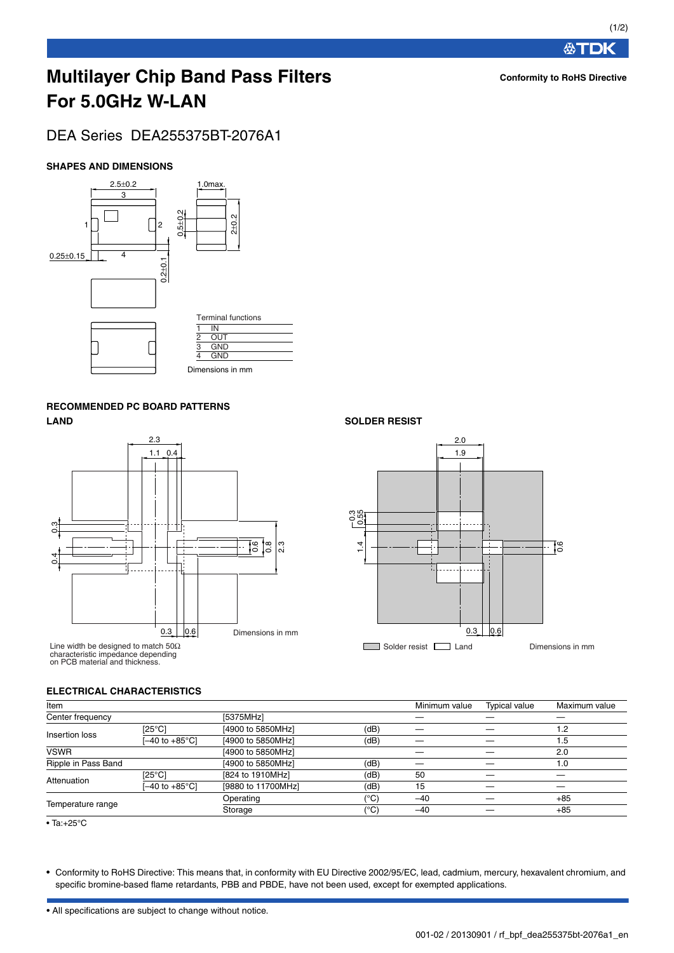# **Multilayer Chip Band Pass Filters For 5.0GHz W-LAN**

# DEA Series DEA255375BT-2076A1

## **SHAPES AND DIMENSIONS**



# **RECOMMENDED PC BOARD PATTERNS LAND SOLDER RESIST**



Line width be designed to match 50Ω characteristic impedance depending on PCB material and thickness.



### **ELECTRICAL CHARACTERISTICS**

| Item                |                  |                    |      | Minimum value | <b>Typical value</b> | Maximum value |
|---------------------|------------------|--------------------|------|---------------|----------------------|---------------|
| Center frequency    |                  | [5375MHz]          |      |               |                      |               |
| Insertion loss      | [25°C]           | [4900 to 5850MHz]  | (dB) |               |                      | 1.2           |
|                     | (–40 to +85°C]   | [4900 to 5850MHz]  | (dB) |               |                      | 1.5           |
| <b>VSWR</b>         |                  | [4900 to 5850MHz]  |      |               |                      | 2.0           |
| Ripple in Pass Band |                  | [4900 to 5850MHz]  | (dB) |               |                      | 1.0           |
| Attenuation         | $[25^{\circ}$ C1 | [824 to 1910MHz]   | (dB) | 50            |                      |               |
|                     | [–40 to +85°C]   | [9880 to 11700MHz] | (dB) | 15            |                      |               |
|                     |                  | Operating          | (°C) | $-40$         |                      | $+85$         |
| Temperature range   |                  | Storage            | (°C) | $-40$         |                      | $+85$         |

• Ta:+25°C

• Conformity to RoHS Directive: This means that, in conformity with EU Directive 2002/95/EC, lead, cadmium, mercury, hexavalent chromium, and specific bromine-based flame retardants, PBB and PBDE, have not been used, except for exempted applications.

• All specifications are subject to change without notice.

#### 001-02 / 20130901 / rf\_bpf\_dea255375bt-2076a1\_en.

# **Conformity to RoHS Directive**

**公丁DK**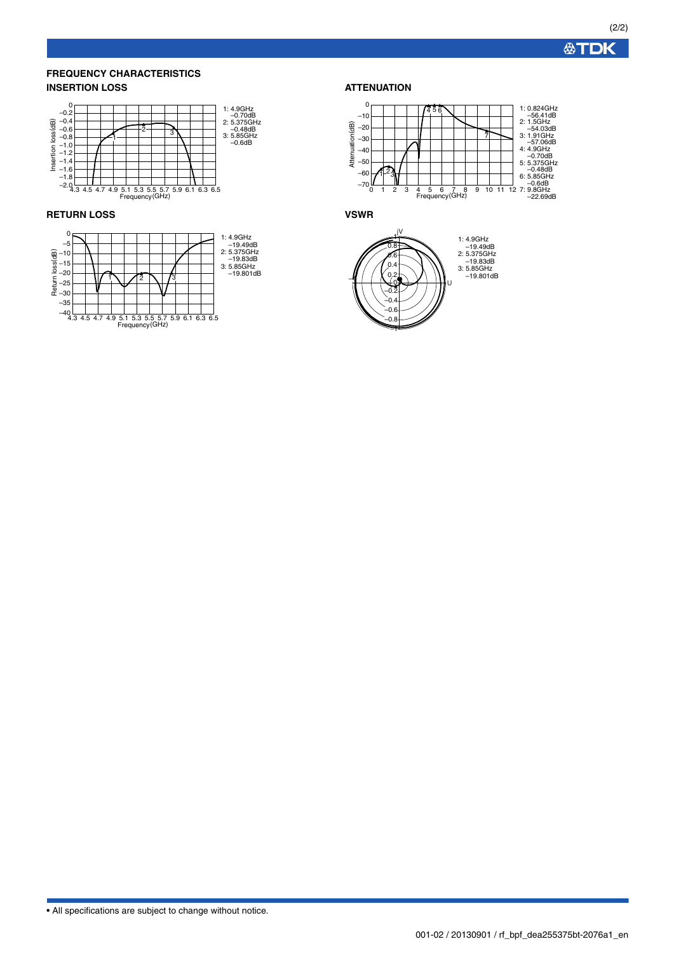**公丁DK** 

### **FREQUENCY CHARACTERISTICS INSERTION LOSS**



#### **RETURN LOSS**



### **ATTENUATION**



**VSWR**



• All specifications are subject to change without notice.